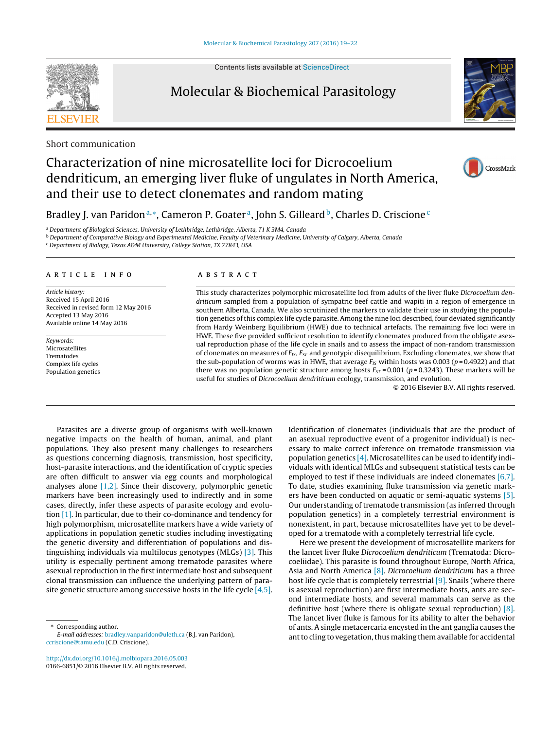Contents lists available at [ScienceDirect](http://www.sciencedirect.com/science/journal/01666851)

# Molecular & Biochemical Parasitology

Short communication

# Characterization of nine microsatellite loci for Dicrocoelium dendriticum, an emerging liver fluke of ungulates in North America, and their use to detect clonemates and random mating





## Bradley J. van Paridon<sup>a,∗</sup>, Cameron P. Goater<sup>a</sup>, John S. Gilleard<sup>b</sup>, Charles D. Criscione<sup>c</sup>

<sup>a</sup> Department of Biological Sciences, University of Lethbridge, Lethbridge, Alberta, T1 K 3M4, Canada

<sup>b</sup> Department of Comparative Biology and Experimental Medicine, Faculty of Veterinary Medicine, University of Calgary, Alberta, Canada

<sup>c</sup> Department of Biology, Texas A&M University, College Station, TX 77843, USA

#### a r t i c l e i n f o

Article history: Received 15 April 2016 Received in revised form 12 May 2016 Accepted 13 May 2016 Available online 14 May 2016

Keywords: Microsatellites Trematodes Complex life cycles Population genetics

### A B S T R A C T

This study characterizes polymorphic microsatellite loci from adults of the liver fluke Dicrocoelium dendriticum sampled from a population of sympatric beef cattle and wapiti in a region of emergence in southern Alberta, Canada. We also scrutinized the markers to validate their use in studying the population genetics of this complex life cycle parasite. Among the nine loci described, four deviated significantly from Hardy Weinberg Equilibrium (HWE) due to technical artefacts. The remaining five loci were in HWE. These five provided sufficient resolution to identify clonemates produced from the obligate asexual reproduction phase of the life cycle in snails and to assess the impact of non-random transmission of clonemates on measures of  $F_{IS}$ ,  $F_{ST}$  and genotypic disequilibrium. Excluding clonemates, we show that the sub-population of worms was in HWE, that average  $F_{IS}$  within hosts was 0.003 (p=0.4922) and that there was no population genetic structure among hosts  $F_{ST}$  = 0.001 ( $p$  = 0.3243). These markers will be useful for studies of Dicrocoelium dendriticum ecology, transmission, and evolution.

© 2016 Elsevier B.V. All rights reserved.

Parasites are a diverse group of organisms with well-known negative impacts on the health of human, animal, and plant populations. They also present many challenges to researchers as questions concerning diagnosis, transmission, host specificity, host-parasite interactions, and the identification of cryptic species are often difficult to answer via egg counts and morphological analyses alone [\[1,2\].](#page-2-0) Since their discovery, polymorphic genetic markers have been increasingly used to indirectly and in some cases, directly, infer these aspects of parasite ecology and evolution [\[1\].](#page-2-0) In particular, due to their co-dominance and tendency for high polymorphism, microsatellite markers have a wide variety of applications in population genetic studies including investigating the genetic diversity and differentiation of populations and distinguishing individuals via multilocus genotypes (MLGs) [\[3\].](#page-2-0) This utility is especially pertinent among trematode parasites where asexual reproduction in the first intermediate host and subsequent clonal transmission can influence the underlying pattern of parasite genetic structure among successive hosts in the life cycle  $[4,5]$ .

Corresponding author.

E-mail addresses: [bradley.vanparidon@uleth.ca](mailto:bradley.vanparidon@uleth.ca) (B.J. van Paridon), [ccriscione@tamu.edu](mailto:ccriscione@tamu.edu) (C.D. Criscione).

[http://dx.doi.org/10.1016/j.molbiopara.2016.05.003](dx.doi.org/10.1016/j.molbiopara.2016.05.003) 0166-6851/© 2016 Elsevier B.V. All rights reserved.

Identification of clonemates (individuals that are the product of an asexual reproductive event of a progenitor individual) is necessary to make correct inference on trematode transmission via population genetics [\[4\].](#page-2-0) Microsatellites can be used to identify individuals with identical MLGs and subsequent statistical tests can be employed to test if these individuals are indeed clonemates [\[6,7\].](#page-2-0) To date, studies examining fluke transmission via genetic markers have been conducted on aquatic or semi-aquatic systems [\[5\].](#page-2-0) Our understanding of trematode transmission (as inferred through population genetics) in a completely terrestrial environment is nonexistent, in part, because microsatellites have yet to be developed for a trematode with a completely terrestrial life cycle.

Here we present the development of microsatellite markers for the lancet liver fluke Dicrocoelium dendriticum (Trematoda: Dicrocoeliidae). This parasite is found throughout Europe, North Africa, Asia and North America  $[8]$ . Dicrocoelium dendriticum has a three host life cycle that is completely terrestrial [\[9\].](#page-2-0) Snails (where there is asexual reproduction) are first intermediate hosts, ants are second intermediate hosts, and several mammals can serve as the definitive host (where there is obligate sexual reproduction) [\[8\].](#page-2-0) The lancet liver fluke is famous for its ability to alter the behavior of ants. A single metacercaria encysted in the ant ganglia causes the ant to cling to vegetation, thus making them available for accidental

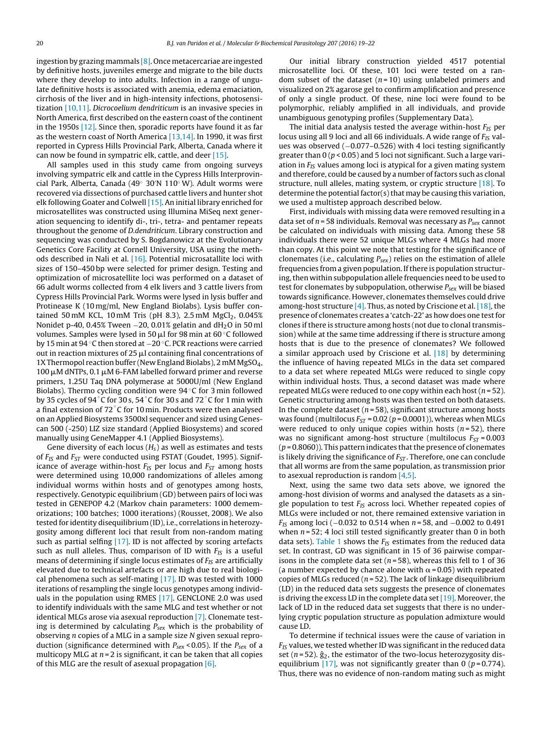ingestion by grazing mammals  $[8]$ . Once metacercariae are ingested by definitive hosts, juveniles emerge and migrate to the bile ducts where they develop to into adults. Infection in a range of ungulate definitive hosts is associated with anemia, edema emaciation, cirrhosis of the liver and in high-intensity infections, photosensitization [\[10,11\].](#page-2-0) Dicrocoelium dendriticum is an invasive species in North America, first described on the eastern coast of the continent in the 1950s [\[12\].](#page-3-0) Since then, sporadic reports have found it as far as the western coast of North America [\[13,14\].](#page-3-0) In 1990, it was first reported in Cypress Hills Provincial Park, Alberta, Canada where it can now be found in sympatric elk, cattle, and deer [\[15\].](#page-3-0)

All samples used in this study came from ongoing surveys involving sympatric elk and cattle in the Cypress Hills Interprovincial Park, Alberta, Canada (49◦ 30 N 110◦ W). Adult worms were recovered via dissections of purchased cattle livers and hunter shot elk following Goater and Colwell [\[15\].](#page-3-0) An initial library enriched for microsatellites was constructed using Illumina MiSeq next generation sequencing to identify di-, tri-, tetra- and pentamer repeats throughout the genome of D.dendriticum. Library construction and sequencing was conducted by S. Bogdanowicz at the Evolutionary Genetics Core Facility at Cornell University, USA using the methods described in Nali et al. [\[16\].](#page-3-0) Potential microsatallite loci with sizes of 150–450 bp were selected for primer design. Testing and optimization of microsatellite loci was performed on a dataset of 66 adult worms collected from 4 elk livers and 3 cattle livers from Cypress Hills Provincial Park. Worms were lysed in lysis buffer and Protinease K (10 mg/ml, New England Biolabs). Lysis buffer contained 50 mM KCL, 10 mM Tris (pH 8.3), 2.5 mM  $MgCl_2$ , 0.045% Nonidet p-40, 0.45% Tween  $-20$ , 0.01% gelatin and dH<sub>2</sub>O in 50 ml volumes. Samples were lysed in 50  $\mu$ l for 98 min at 60 °C followed by 15 min at 94 ◦C then stored at −20 ◦C. PCR reactions were carried out in reaction mixtures of 25  $\mu$ l containing final concentrations of 1X Thermopol reaction buffer (New England Biolabs), 2 mM MgSO<sub>4</sub>,  $100 \,\mu$ M dNTPs, 0.1  $\mu$ M 6-FAM labelled forward primer and reverse primers, 1.25U Taq DNA polymerase at 5000U/ml (New England Biolabs). Thermo cycling condition were 94 ◦C for 3 min followed by 35 cycles of 94 $^{\circ}$ C for 30 s, 54 $^{\circ}$ C for 30 s and 72 $^{\circ}$ C for 1 min with a final extension of 72◦ C for 10 min. Products were then analysed on an Applied Biosystems 3500xl sequencer and sized using Genescan 500 (-250) LIZ size standard (Applied Biosystems) and scored manually using GeneMapper 4.1 (Applied Biosystems).

Gene diversity of each locus  $(H_s)$  as well as estimates and tests of  $F_{IS}$  and  $F_{ST}$  were conducted using FSTAT (Goudet, 1995). Significance of average within-host  $F_{IS}$  per locus and  $F_{ST}$  among hosts were determined using 10,000 randomizations of alleles among individual worms within hosts and of genotypes among hosts, respectively. Genotypic equilibrium (GD) between pairs of loci was tested in GENEPOP 4.2 (Markov chain parameters: 1000 dememorizations; 100 batches; 1000 iterations) (Rousset, 2008). We also tested for identity disequilibrium (ID), i.e., correlations in heterozygosity among different loci that result from non-random mating such as partial selfing [\[17\].](#page-3-0) ID is not affected by scoring artefacts such as null alleles. Thus, comparison of ID with  $F_{IS}$  is a useful means of determining if single locus estimates of  $F_{IS}$  are artificially elevated due to technical artefacts or are high due to real biological phenomena such as self-mating  $[17]$ . ID was tested with 1000 iterations of resampling the single locus genotypes among individuals in the population using RMES [\[17\].](#page-3-0) GENCLONE 2.0 was used to identify individuals with the same MLG and test whether or not identical MLGs arose via asexual reproduction [\[7\].](#page-2-0) Clonemate testing is determined by calculating  $P_{sex}$  which is the probability of observing n copies of a MLG in a sample size N given sexual reproduction (significance determined with  $P_{sex}$  < 0.05). If the  $P_{sex}$  of a multicopy MLG at  $n = 2$  is significant, it can be taken that all copies of this MLG are the result of asexual propagation  $[6]$ .

Our initial library construction yielded 4517 potential microsatellite loci. Of these, 101 loci were tested on a random subset of the dataset ( $n = 10$ ) using unlabeled primers and visualized on 2% agarose gel to confirm amplification and presence of only a single product. Of these, nine loci were found to be polymorphic, reliably amplified in all individuals, and provide unambiguous genotyping profiles (Supplementary Data).

The initial data analysis tested the average within-host  $F_{IS}$  per locus using all 9 loci and all 66 individuals. A wide range of  $F_{IS}$  values was observed (-0.077-0.526) with 4 loci testing significantly greater than  $0$  ( $p$  < 0.05) and 5 loci not significant. Such a large variation in  $F_{IS}$  values among loci is atypical for a given mating system and therefore, could be caused by a number of factors such as clonal structure, null alleles, mating system, or cryptic structure [\[18\].](#page-3-0) To determine the potential factor(s) that may be causing this variation, we used a multistep approach described below.

First, individuals with missing data were removed resulting in a data set of  $n = 58$  individuals. Removal was necessary as  $P_{sex}$  cannot be calculated on individuals with missing data. Among these 58 individuals there were 52 unique MLGs where 4 MLGs had more than copy. At this point we note that testing for the significance of clonemates (i.e., calculating  $P_{sex}$ ) relies on the estimation of allele frequencies from a given population. If there is population structuring, then within subpopulation allele frequencies need to be used to test for clonemates by subpopulation, otherwise  $P_{sex}$  will be biased towards significance. However, clonemates themselves could drive among-host structure  $[4]$ . Thus, as noted by Criscione et al.  $[18]$ , the presence of clonemates creates a 'catch-22' as how does one testfor clones if there is structure among hosts (not due to clonal transmission) while at the same time addressing if there is structure among hosts that is due to the presence of clonemates? We followed a similar approach used by Criscione et al.  $[18]$  by determining the influence of having repeated MLGs in the data set compared to a data set where repeated MLGs were reduced to single copy within individual hosts. Thus, a second dataset was made where repeated MLGs were reduced to one copy within each host ( $n = 52$ ). Genetic structuring among hosts was then tested on both datasets. In the complete dataset ( $n = 58$ ), significant structure among hosts was found (multilocus  $F_{ST}$  = 0.02 ( $p$  = 0.0001)), whereas when MLGs were reduced to only unique copies within hosts  $(n=52)$ , there was no significant among-host structure (multilocus  $F_{ST} = 0.003$  $(p = 0.8060)$ ). This pattern indicates that the presence of clonemates is likely driving the significance of  $F_{ST}$ . Therefore, one can conclude that all worms are from the same population, as transmission prior to asexual reproduction is random  $[4,5]$ .

Next, using the same two data sets above, we ignored the among-host division of worms and analysed the datasets as a single population to test  $F_{IS}$  across loci. Whether repeated copies of MLGs were included or not, there remained extensive variation in  $F_{IS}$  among loci (-0.032 to 0.514 when n = 58, and -0.002 to 0.491 when  $n = 52$ ; 4 loci still tested significantly greater than 0 in both data sets). [Table](#page-2-0) 1 shows the  $F_{IS}$  estimates from the reduced data set. In contrast, GD was significant in 15 of 36 pairwise comparisons in the complete data set ( $n = 58$ ), whereas this fell to 1 of 36 (a number expected by chance alone with  $\alpha$  = 0.05) with repeated copies of MLGs reduced ( $n = 52$ ). The lack of linkage disequilibrium (LD) in the reduced data sets suggests the presence of clonemates is driving the excess LD in the complete data set  $[19]$ . Moreover, the lack of LD in the reduced data set suggests that there is no underlying cryptic population structure as population admixture would cause LD.

To determine if technical issues were the cause of variation in  $F_{IS}$  values, we tested whether ID was significant in the reduced data set ( $n = 52$ ).  $\hat{g}_2$ , the estimator of the two-locus heterozygosity dis-equilibrium [\[17\],](#page-3-0) was not significantly greater than 0 ( $p = 0.774$ ). Thus, there was no evidence of non-random mating such as might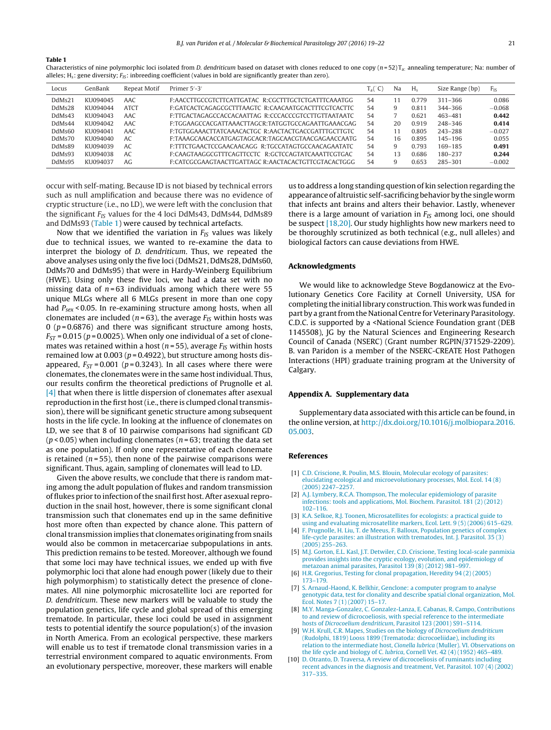#### <span id="page-2-0"></span>**Table 1**

Characteristics of nine polymorphic loci isolated from D. dendriticum based on dataset with clones reduced to one copy  $(n=52)$  T<sub>a</sub>. annealing temperature; Na: number of alleles;  $H_s$ : gene diversity;  $F_{IS}$ : inbreeding coefficient (values in bold are significantly greater than zero).

| Locus  | GenBank  | Repeat Motif | Primer 5/-3/                                        | $i_a$ (C) | Na | H <sub>c</sub> | Size Range (bp) | $F_{IS}$ |
|--------|----------|--------------|-----------------------------------------------------|-----------|----|----------------|-----------------|----------|
| DdMs21 | KU094045 | AAC          | F.AACCTTGCCGTCTTCATTGATAC R:CGCTTTGCTCTGATTTCAAATGG | 54        | 11 | 0.779          | $311 - 366$     | 0.086    |
| DdMs28 | KU094044 | <b>ATCT</b>  | F:GATCACTCAGAGCGCTTTAAGTC R:CAACAATGCACTTTCGTCACTTC | 54        | q  | 0.811          | 344-366         | $-0.068$ |
| DdMs43 | KU094043 | AAC          | E:TTGACTAGAGCCACCACAATTAG R:CCCACCCGTCCTTGTTAATAATC | 54        |    | 0.621          | 463-481         | 0.442    |
| DdMs44 | KU094042 | AAC          | E:TGGAAGCCACGATTAAACTTAGCR:TATGGTGCCAGAATTGAAACGAG  | 54        | 20 | 0.919          | 248-346         | 0.414    |
| DdMs60 | KU094041 | AAC          | E TGTGGAAACTTATCAAACACTGC R:AACTACTGACCGATTTGCTTGTC | 54        | 11 | 0.805          | 243-288         | $-0.027$ |
| DdMs70 | KU094040 | AC           | F:TAAAGCAACACCATGAGTAGCACR:TAGCAACGTAACGAGAACCAATG  | 54        | 16 | 0.895          | $145 - 196$     | 0.055    |
| DdMs89 | KU094039 | AC           | E TTTCTGAACTCCGAACAACAGG R TGCCATAGTGCCAACAGAATATC  | 54        | q  | 0.793          | 169-185         | 0.491    |
| DdMs93 | KU094038 | AC           | F:CAAGTAAGGCGTTTCAGTTCCTC R:GCTCCAGTATCAAATTCGTGAC  | 54        | 13 | 0.686          | 180-237         | 0.244    |
| DdMs95 | KU094037 | AGr          | F:CATCGCGAAGTAACTTGATTAGC R:AACTACACTGTTCGTACACTGGG | 54        | q  | 0.653          | 285-301         | $-0.002$ |

occur with self-mating. Because ID is not biased by technical errors such as null amplification and because there was no evidence of cryptic structure (i.e., no LD), we were left with the conclusion that the significant  $F_{IS}$  values for the 4 loci DdMs43, DdMs44, DdMs89 and DdMs93 (Table 1) were caused by technical artefacts.

Now that we identified the variation in  $F_{IS}$  values was likely due to technical issues, we wanted to re-examine the data to interpret the biology of D. dendriticum. Thus, we repeated the above analyses using only the five loci (DdMs21, DdMs28, DdMs60, DdMs70 and DdMs95) that were in Hardy-Weinberg Equilibrium (HWE). Using only these five loci, we had a data set with no missing data of  $n = 63$  individuals among which there were 55 unique MLGs where all 6 MLGs present in more than one copy had  $P_{sex}$  < 0.05. In re-examining structure among hosts, when all clonemates are included ( $n = 63$ ), the average  $F_{IS}$  within hosts was 0 ( $p = 0.6876$ ) and there was significant structure among hosts,  $F_{ST}$  = 0.015 ( $p$  = 0.0025). When only one individual of a set of clonemates was retained within a host ( $n = 55$ ), average  $F_{IS}$  within hosts remained low at 0.003 ( $p = 0.4922$ ), but structure among hosts disappeared,  $F_{ST}$  = 0.001 (p = 0.3243). In all cases where there were clonemates, the clonemates were in the same host individual. Thus, our results confirm the theoretical predictions of Prugnolle et al. [4] that when there is little dispersion of clonemates after asexual reproduction in the first host (i.e., there is clumped clonal transmission), there will be significant genetic structure among subsequent hosts in the life cycle. In looking at the influence of clonemates on LD, we see that 8 of 10 pairwise comparisons had significant GD  $(p < 0.05)$  when including clonemates (n = 63; treating the data set as one population). If only one representative of each clonemate is retained ( $n = 55$ ), then none of the pairwise comparisons were significant. Thus, again, sampling of clonemates will lead to LD.

Given the above results, we conclude that there is random mating among the adult population of flukes and random transmission of flukes prior to infection of the snail first host. After asexual reproduction in the snail host, however, there is some significant clonal transmission such that clonemates end up in the same definitive host more often than expected by chance alone. This pattern of clonaltransmission implies that clonemates originating from snails would also be common in metacercariae subpopulations in ants. This prediction remains to be tested. Moreover, although we found that some loci may have technical issues, we ended up with five polymorphic loci that alone had enough power (likely due to their high polymorphism) to statistically detect the presence of clonemates. All nine polymorphic microsatellite loci are reported for D. dendriticum. These new markers will be valuable to study the population genetics, life cycle and global spread of this emerging trematode. In particular, these loci could be used in assignment tests to potential identify the source population(s) of the invasion in North America. From an ecological perspective, these markers will enable us to test if trematode clonal transmission varies in a terrestrial environment compared to aquatic environments. From an evolutionary perspective, moreover, these markers will enable

us to address a long standing question of kin selection regarding the appearance of altruistic self-sacrificing behavior by the single worm that infects ant brains and alters their behavior. Lastly, whenever there is a large amount of variation in  $F_{IS}$  among loci, one should be suspect [\[18,20\].](#page-3-0) Our study highlights how new markers need to be thoroughly scrutinized as both technical (e.g., null alleles) and biological factors can cause deviations from HWE.

#### **Acknowledgments**

We would like to acknowledge Steve Bogdanowicz at the Evolutionary Genetics Core Facility at Cornell University, USA for completing the initial library construction. This work was funded in part by a grant from the National Centre for Veterinary Parasitology. C.D.C. is supported by a <National Science Foundation grant (DEB 1145508), JG by the Natural Sciences and Engineering Research Council of Canada (NSERC) (Grant number RGPIN/371529-2209). B. van Paridon is a member of the NSERC-CREATE Host Pathogen Interactions (HPI) graduate training program at the University of Calgary.

#### **Appendix A. Supplementary data**

Supplementary data associated with this article can be found, in the online version, at [http://dx.doi.org/10.1016/j.molbiopara.2016.](http://dx.doi.org/10.1016/j.molbiopara.2016.05.003) [05.003](http://dx.doi.org/10.1016/j.molbiopara.2016.05.003).

### **References**

- [1] [C.D.](http://refhub.elsevier.com/S0166-6851(16)30054-8/sbref0005) [Criscione,](http://refhub.elsevier.com/S0166-6851(16)30054-8/sbref0005) [R.](http://refhub.elsevier.com/S0166-6851(16)30054-8/sbref0005) [Poulin,](http://refhub.elsevier.com/S0166-6851(16)30054-8/sbref0005) [M.S.](http://refhub.elsevier.com/S0166-6851(16)30054-8/sbref0005) [Blouin,](http://refhub.elsevier.com/S0166-6851(16)30054-8/sbref0005) [Molecular](http://refhub.elsevier.com/S0166-6851(16)30054-8/sbref0005) [ecology](http://refhub.elsevier.com/S0166-6851(16)30054-8/sbref0005) [of](http://refhub.elsevier.com/S0166-6851(16)30054-8/sbref0005) [parasites:](http://refhub.elsevier.com/S0166-6851(16)30054-8/sbref0005) [elucidating](http://refhub.elsevier.com/S0166-6851(16)30054-8/sbref0005) [ecological](http://refhub.elsevier.com/S0166-6851(16)30054-8/sbref0005) [and](http://refhub.elsevier.com/S0166-6851(16)30054-8/sbref0005) [microevolutionary](http://refhub.elsevier.com/S0166-6851(16)30054-8/sbref0005) [processes,](http://refhub.elsevier.com/S0166-6851(16)30054-8/sbref0005) [Mol.](http://refhub.elsevier.com/S0166-6851(16)30054-8/sbref0005) [Ecol.](http://refhub.elsevier.com/S0166-6851(16)30054-8/sbref0005) [14](http://refhub.elsevier.com/S0166-6851(16)30054-8/sbref0005) [\(8\)](http://refhub.elsevier.com/S0166-6851(16)30054-8/sbref0005) [\(2005\)](http://refhub.elsevier.com/S0166-6851(16)30054-8/sbref0005) [2247–2257.](http://refhub.elsevier.com/S0166-6851(16)30054-8/sbref0005)
- [2] [A.J.](http://refhub.elsevier.com/S0166-6851(16)30054-8/sbref0010) [Lymbery,](http://refhub.elsevier.com/S0166-6851(16)30054-8/sbref0010) [R.C.A.](http://refhub.elsevier.com/S0166-6851(16)30054-8/sbref0010) [Thompson,](http://refhub.elsevier.com/S0166-6851(16)30054-8/sbref0010) [The](http://refhub.elsevier.com/S0166-6851(16)30054-8/sbref0010) [molecular](http://refhub.elsevier.com/S0166-6851(16)30054-8/sbref0010) [epidemiology](http://refhub.elsevier.com/S0166-6851(16)30054-8/sbref0010) [of](http://refhub.elsevier.com/S0166-6851(16)30054-8/sbref0010) [parasite](http://refhub.elsevier.com/S0166-6851(16)30054-8/sbref0010) [infections:](http://refhub.elsevier.com/S0166-6851(16)30054-8/sbref0010) [tools](http://refhub.elsevier.com/S0166-6851(16)30054-8/sbref0010) [and](http://refhub.elsevier.com/S0166-6851(16)30054-8/sbref0010) [applications,](http://refhub.elsevier.com/S0166-6851(16)30054-8/sbref0010) [Mol.](http://refhub.elsevier.com/S0166-6851(16)30054-8/sbref0010) [Biochem.](http://refhub.elsevier.com/S0166-6851(16)30054-8/sbref0010) [Parasitol.](http://refhub.elsevier.com/S0166-6851(16)30054-8/sbref0010) [181](http://refhub.elsevier.com/S0166-6851(16)30054-8/sbref0010) [\(2\)](http://refhub.elsevier.com/S0166-6851(16)30054-8/sbref0010) [\(2012\)](http://refhub.elsevier.com/S0166-6851(16)30054-8/sbref0010) [102–116.](http://refhub.elsevier.com/S0166-6851(16)30054-8/sbref0010)
- [3] [K.A.](http://refhub.elsevier.com/S0166-6851(16)30054-8/sbref0015) [Selkoe,](http://refhub.elsevier.com/S0166-6851(16)30054-8/sbref0015) [R.J.](http://refhub.elsevier.com/S0166-6851(16)30054-8/sbref0015) [Toonen,](http://refhub.elsevier.com/S0166-6851(16)30054-8/sbref0015) [Microsatellites](http://refhub.elsevier.com/S0166-6851(16)30054-8/sbref0015) [for](http://refhub.elsevier.com/S0166-6851(16)30054-8/sbref0015) [ecologists:](http://refhub.elsevier.com/S0166-6851(16)30054-8/sbref0015) [a](http://refhub.elsevier.com/S0166-6851(16)30054-8/sbref0015) [practical](http://refhub.elsevier.com/S0166-6851(16)30054-8/sbref0015) [guide](http://refhub.elsevier.com/S0166-6851(16)30054-8/sbref0015) [to](http://refhub.elsevier.com/S0166-6851(16)30054-8/sbref0015) [using](http://refhub.elsevier.com/S0166-6851(16)30054-8/sbref0015) [and](http://refhub.elsevier.com/S0166-6851(16)30054-8/sbref0015) [evaluating](http://refhub.elsevier.com/S0166-6851(16)30054-8/sbref0015) [microsatellite](http://refhub.elsevier.com/S0166-6851(16)30054-8/sbref0015) [markers,](http://refhub.elsevier.com/S0166-6851(16)30054-8/sbref0015) [Ecol.](http://refhub.elsevier.com/S0166-6851(16)30054-8/sbref0015) [Lett.](http://refhub.elsevier.com/S0166-6851(16)30054-8/sbref0015) [9](http://refhub.elsevier.com/S0166-6851(16)30054-8/sbref0015) [\(5\)](http://refhub.elsevier.com/S0166-6851(16)30054-8/sbref0015) [\(2006\)](http://refhub.elsevier.com/S0166-6851(16)30054-8/sbref0015) 615-629.
- [4] [F.](http://refhub.elsevier.com/S0166-6851(16)30054-8/sbref0020) [Prugnolle,](http://refhub.elsevier.com/S0166-6851(16)30054-8/sbref0020) [H.](http://refhub.elsevier.com/S0166-6851(16)30054-8/sbref0020) [Liu,](http://refhub.elsevier.com/S0166-6851(16)30054-8/sbref0020) [T.](http://refhub.elsevier.com/S0166-6851(16)30054-8/sbref0020) [de](http://refhub.elsevier.com/S0166-6851(16)30054-8/sbref0020) [Meeus,](http://refhub.elsevier.com/S0166-6851(16)30054-8/sbref0020) F. [Balloux,](http://refhub.elsevier.com/S0166-6851(16)30054-8/sbref0020) [Population](http://refhub.elsevier.com/S0166-6851(16)30054-8/sbref0020) [genetics](http://refhub.elsevier.com/S0166-6851(16)30054-8/sbref0020) [of](http://refhub.elsevier.com/S0166-6851(16)30054-8/sbref0020) [complex](http://refhub.elsevier.com/S0166-6851(16)30054-8/sbref0020) [life-cycle](http://refhub.elsevier.com/S0166-6851(16)30054-8/sbref0020) [parasites:](http://refhub.elsevier.com/S0166-6851(16)30054-8/sbref0020) [an](http://refhub.elsevier.com/S0166-6851(16)30054-8/sbref0020) [illustration](http://refhub.elsevier.com/S0166-6851(16)30054-8/sbref0020) [with](http://refhub.elsevier.com/S0166-6851(16)30054-8/sbref0020) [trematodes,](http://refhub.elsevier.com/S0166-6851(16)30054-8/sbref0020) [Int.](http://refhub.elsevier.com/S0166-6851(16)30054-8/sbref0020) [J.](http://refhub.elsevier.com/S0166-6851(16)30054-8/sbref0020) [Parasitol.](http://refhub.elsevier.com/S0166-6851(16)30054-8/sbref0020) [35](http://refhub.elsevier.com/S0166-6851(16)30054-8/sbref0020) [\(3\)](http://refhub.elsevier.com/S0166-6851(16)30054-8/sbref0020) [\(2005\)](http://refhub.elsevier.com/S0166-6851(16)30054-8/sbref0020) [255–263.](http://refhub.elsevier.com/S0166-6851(16)30054-8/sbref0020)
- [5] [M.J.](http://refhub.elsevier.com/S0166-6851(16)30054-8/sbref0025) [Gorton,](http://refhub.elsevier.com/S0166-6851(16)30054-8/sbref0025) [E.L.](http://refhub.elsevier.com/S0166-6851(16)30054-8/sbref0025) [Kasl,](http://refhub.elsevier.com/S0166-6851(16)30054-8/sbref0025) [J.T.](http://refhub.elsevier.com/S0166-6851(16)30054-8/sbref0025) [Detwiler,](http://refhub.elsevier.com/S0166-6851(16)30054-8/sbref0025) [C.D.](http://refhub.elsevier.com/S0166-6851(16)30054-8/sbref0025) [Criscione,](http://refhub.elsevier.com/S0166-6851(16)30054-8/sbref0025) [Testing](http://refhub.elsevier.com/S0166-6851(16)30054-8/sbref0025) [local-scale](http://refhub.elsevier.com/S0166-6851(16)30054-8/sbref0025) [panmixia](http://refhub.elsevier.com/S0166-6851(16)30054-8/sbref0025) [provides](http://refhub.elsevier.com/S0166-6851(16)30054-8/sbref0025) [insights](http://refhub.elsevier.com/S0166-6851(16)30054-8/sbref0025) [into](http://refhub.elsevier.com/S0166-6851(16)30054-8/sbref0025) [the](http://refhub.elsevier.com/S0166-6851(16)30054-8/sbref0025) [cryptic](http://refhub.elsevier.com/S0166-6851(16)30054-8/sbref0025) [ecology,](http://refhub.elsevier.com/S0166-6851(16)30054-8/sbref0025) [evolution,](http://refhub.elsevier.com/S0166-6851(16)30054-8/sbref0025) [and](http://refhub.elsevier.com/S0166-6851(16)30054-8/sbref0025) [epidemiology](http://refhub.elsevier.com/S0166-6851(16)30054-8/sbref0025) [of](http://refhub.elsevier.com/S0166-6851(16)30054-8/sbref0025) [metazoan](http://refhub.elsevier.com/S0166-6851(16)30054-8/sbref0025) [animal](http://refhub.elsevier.com/S0166-6851(16)30054-8/sbref0025) [parasites,](http://refhub.elsevier.com/S0166-6851(16)30054-8/sbref0025) [Parasitol](http://refhub.elsevier.com/S0166-6851(16)30054-8/sbref0025) [139](http://refhub.elsevier.com/S0166-6851(16)30054-8/sbref0025) [\(8\)](http://refhub.elsevier.com/S0166-6851(16)30054-8/sbref0025) [\(2012\)](http://refhub.elsevier.com/S0166-6851(16)30054-8/sbref0025) [981](http://refhub.elsevier.com/S0166-6851(16)30054-8/sbref0025)–[997.](http://refhub.elsevier.com/S0166-6851(16)30054-8/sbref0025)
- [6] [H.R.](http://refhub.elsevier.com/S0166-6851(16)30054-8/sbref0030) [Gregorius,](http://refhub.elsevier.com/S0166-6851(16)30054-8/sbref0030) [Testing](http://refhub.elsevier.com/S0166-6851(16)30054-8/sbref0030) [for](http://refhub.elsevier.com/S0166-6851(16)30054-8/sbref0030) [clonal](http://refhub.elsevier.com/S0166-6851(16)30054-8/sbref0030) [propagation,](http://refhub.elsevier.com/S0166-6851(16)30054-8/sbref0030) [Heredity](http://refhub.elsevier.com/S0166-6851(16)30054-8/sbref0030) [94](http://refhub.elsevier.com/S0166-6851(16)30054-8/sbref0030) [\(2\)](http://refhub.elsevier.com/S0166-6851(16)30054-8/sbref0030) [\(2005\)](http://refhub.elsevier.com/S0166-6851(16)30054-8/sbref0030) [173](http://refhub.elsevier.com/S0166-6851(16)30054-8/sbref0030)–[179.](http://refhub.elsevier.com/S0166-6851(16)30054-8/sbref0030)
- [7] [S.](http://refhub.elsevier.com/S0166-6851(16)30054-8/sbref0035) [Arnaud-Haond,](http://refhub.elsevier.com/S0166-6851(16)30054-8/sbref0035) [K.](http://refhub.elsevier.com/S0166-6851(16)30054-8/sbref0035) [Belkhir,](http://refhub.elsevier.com/S0166-6851(16)30054-8/sbref0035) [Genclone:](http://refhub.elsevier.com/S0166-6851(16)30054-8/sbref0035) [a](http://refhub.elsevier.com/S0166-6851(16)30054-8/sbref0035) [computer](http://refhub.elsevier.com/S0166-6851(16)30054-8/sbref0035) [program](http://refhub.elsevier.com/S0166-6851(16)30054-8/sbref0035) [to](http://refhub.elsevier.com/S0166-6851(16)30054-8/sbref0035) [analyse](http://refhub.elsevier.com/S0166-6851(16)30054-8/sbref0035) [genotypic](http://refhub.elsevier.com/S0166-6851(16)30054-8/sbref0035) [data,](http://refhub.elsevier.com/S0166-6851(16)30054-8/sbref0035) [test](http://refhub.elsevier.com/S0166-6851(16)30054-8/sbref0035) [for](http://refhub.elsevier.com/S0166-6851(16)30054-8/sbref0035) [clonality](http://refhub.elsevier.com/S0166-6851(16)30054-8/sbref0035) [and](http://refhub.elsevier.com/S0166-6851(16)30054-8/sbref0035) [describe](http://refhub.elsevier.com/S0166-6851(16)30054-8/sbref0035) [spatial](http://refhub.elsevier.com/S0166-6851(16)30054-8/sbref0035) [clonal](http://refhub.elsevier.com/S0166-6851(16)30054-8/sbref0035) [organization,](http://refhub.elsevier.com/S0166-6851(16)30054-8/sbref0035) [Mol.](http://refhub.elsevier.com/S0166-6851(16)30054-8/sbref0035) [Ecol.](http://refhub.elsevier.com/S0166-6851(16)30054-8/sbref0035) [Notes](http://refhub.elsevier.com/S0166-6851(16)30054-8/sbref0035) [7](http://refhub.elsevier.com/S0166-6851(16)30054-8/sbref0035) [\(1\)](http://refhub.elsevier.com/S0166-6851(16)30054-8/sbref0035) [\(2007\)](http://refhub.elsevier.com/S0166-6851(16)30054-8/sbref0035) [15](http://refhub.elsevier.com/S0166-6851(16)30054-8/sbref0035)–[17.](http://refhub.elsevier.com/S0166-6851(16)30054-8/sbref0035)
- [8] [M.Y.](http://refhub.elsevier.com/S0166-6851(16)30054-8/sbref0040) [Manga-Gonzalez,](http://refhub.elsevier.com/S0166-6851(16)30054-8/sbref0040) [C.](http://refhub.elsevier.com/S0166-6851(16)30054-8/sbref0040) [Gonzalez-Lanza,](http://refhub.elsevier.com/S0166-6851(16)30054-8/sbref0040) [E.](http://refhub.elsevier.com/S0166-6851(16)30054-8/sbref0040) [Cabanas,](http://refhub.elsevier.com/S0166-6851(16)30054-8/sbref0040) [R.](http://refhub.elsevier.com/S0166-6851(16)30054-8/sbref0040) [Campo,](http://refhub.elsevier.com/S0166-6851(16)30054-8/sbref0040) [Contributions](http://refhub.elsevier.com/S0166-6851(16)30054-8/sbref0040) [to](http://refhub.elsevier.com/S0166-6851(16)30054-8/sbref0040) [and](http://refhub.elsevier.com/S0166-6851(16)30054-8/sbref0040) [review](http://refhub.elsevier.com/S0166-6851(16)30054-8/sbref0040) [of](http://refhub.elsevier.com/S0166-6851(16)30054-8/sbref0040) [dicrocoeliosis,](http://refhub.elsevier.com/S0166-6851(16)30054-8/sbref0040) [with](http://refhub.elsevier.com/S0166-6851(16)30054-8/sbref0040) [special](http://refhub.elsevier.com/S0166-6851(16)30054-8/sbref0040) [reference](http://refhub.elsevier.com/S0166-6851(16)30054-8/sbref0040) [to](http://refhub.elsevier.com/S0166-6851(16)30054-8/sbref0040) [the](http://refhub.elsevier.com/S0166-6851(16)30054-8/sbref0040) [intermediate](http://refhub.elsevier.com/S0166-6851(16)30054-8/sbref0040) [hosts](http://refhub.elsevier.com/S0166-6851(16)30054-8/sbref0040) [of](http://refhub.elsevier.com/S0166-6851(16)30054-8/sbref0040) [Dicrocoelium](http://refhub.elsevier.com/S0166-6851(16)30054-8/sbref0040) [dendriticum](http://refhub.elsevier.com/S0166-6851(16)30054-8/sbref0040)[,](http://refhub.elsevier.com/S0166-6851(16)30054-8/sbref0040) [Parasitol](http://refhub.elsevier.com/S0166-6851(16)30054-8/sbref0040) [123](http://refhub.elsevier.com/S0166-6851(16)30054-8/sbref0040) [\(2001\)](http://refhub.elsevier.com/S0166-6851(16)30054-8/sbref0040) [S91–S114.](http://refhub.elsevier.com/S0166-6851(16)30054-8/sbref0040)
- [9] [W.H.](http://refhub.elsevier.com/S0166-6851(16)30054-8/sbref0045) [Krull,](http://refhub.elsevier.com/S0166-6851(16)30054-8/sbref0045) [C.R.](http://refhub.elsevier.com/S0166-6851(16)30054-8/sbref0045) [Mapes,](http://refhub.elsevier.com/S0166-6851(16)30054-8/sbref0045) [Studies](http://refhub.elsevier.com/S0166-6851(16)30054-8/sbref0045) [on](http://refhub.elsevier.com/S0166-6851(16)30054-8/sbref0045) [the](http://refhub.elsevier.com/S0166-6851(16)30054-8/sbref0045) [biology](http://refhub.elsevier.com/S0166-6851(16)30054-8/sbref0045) [of](http://refhub.elsevier.com/S0166-6851(16)30054-8/sbref0045) [Dicrocoelium](http://refhub.elsevier.com/S0166-6851(16)30054-8/sbref0045) [dendriticum](http://refhub.elsevier.com/S0166-6851(16)30054-8/sbref0045) [\(Rudolphi,](http://refhub.elsevier.com/S0166-6851(16)30054-8/sbref0045) [1819\)](http://refhub.elsevier.com/S0166-6851(16)30054-8/sbref0045) [Looss](http://refhub.elsevier.com/S0166-6851(16)30054-8/sbref0045) [1899](http://refhub.elsevier.com/S0166-6851(16)30054-8/sbref0045) [\(Trematoda:](http://refhub.elsevier.com/S0166-6851(16)30054-8/sbref0045) [dicrocoeliidae\),](http://refhub.elsevier.com/S0166-6851(16)30054-8/sbref0045) [including](http://refhub.elsevier.com/S0166-6851(16)30054-8/sbref0045) [its](http://refhub.elsevier.com/S0166-6851(16)30054-8/sbref0045) [relation](http://refhub.elsevier.com/S0166-6851(16)30054-8/sbref0045) [to](http://refhub.elsevier.com/S0166-6851(16)30054-8/sbref0045) [the](http://refhub.elsevier.com/S0166-6851(16)30054-8/sbref0045) [intermediate](http://refhub.elsevier.com/S0166-6851(16)30054-8/sbref0045) [host,](http://refhub.elsevier.com/S0166-6851(16)30054-8/sbref0045) [Cionella](http://refhub.elsevier.com/S0166-6851(16)30054-8/sbref0045) [lubrica](http://refhub.elsevier.com/S0166-6851(16)30054-8/sbref0045) [\(Muller\).](http://refhub.elsevier.com/S0166-6851(16)30054-8/sbref0045) [VI.](http://refhub.elsevier.com/S0166-6851(16)30054-8/sbref0045) [Observations](http://refhub.elsevier.com/S0166-6851(16)30054-8/sbref0045) [on](http://refhub.elsevier.com/S0166-6851(16)30054-8/sbref0045) [the](http://refhub.elsevier.com/S0166-6851(16)30054-8/sbref0045) [life](http://refhub.elsevier.com/S0166-6851(16)30054-8/sbref0045) [cycle](http://refhub.elsevier.com/S0166-6851(16)30054-8/sbref0045) [and](http://refhub.elsevier.com/S0166-6851(16)30054-8/sbref0045) [biology](http://refhub.elsevier.com/S0166-6851(16)30054-8/sbref0045) [of](http://refhub.elsevier.com/S0166-6851(16)30054-8/sbref0045) [C.](http://refhub.elsevier.com/S0166-6851(16)30054-8/sbref0045) [lubrica](http://refhub.elsevier.com/S0166-6851(16)30054-8/sbref0045)[,](http://refhub.elsevier.com/S0166-6851(16)30054-8/sbref0045) [Cornell](http://refhub.elsevier.com/S0166-6851(16)30054-8/sbref0045) [Vet.](http://refhub.elsevier.com/S0166-6851(16)30054-8/sbref0045) [42](http://refhub.elsevier.com/S0166-6851(16)30054-8/sbref0045) [\(4\)](http://refhub.elsevier.com/S0166-6851(16)30054-8/sbref0045) [\(1952\)](http://refhub.elsevier.com/S0166-6851(16)30054-8/sbref0045) [465–489.](http://refhub.elsevier.com/S0166-6851(16)30054-8/sbref0045)
- [10] [D.](http://refhub.elsevier.com/S0166-6851(16)30054-8/sbref0050) [Otranto,](http://refhub.elsevier.com/S0166-6851(16)30054-8/sbref0050) D. [Traversa,](http://refhub.elsevier.com/S0166-6851(16)30054-8/sbref0050) [A](http://refhub.elsevier.com/S0166-6851(16)30054-8/sbref0050) [review](http://refhub.elsevier.com/S0166-6851(16)30054-8/sbref0050) [of](http://refhub.elsevier.com/S0166-6851(16)30054-8/sbref0050) [dicrocoeliosis](http://refhub.elsevier.com/S0166-6851(16)30054-8/sbref0050) of [ruminants](http://refhub.elsevier.com/S0166-6851(16)30054-8/sbref0050) [including](http://refhub.elsevier.com/S0166-6851(16)30054-8/sbref0050) [recent](http://refhub.elsevier.com/S0166-6851(16)30054-8/sbref0050) [advances](http://refhub.elsevier.com/S0166-6851(16)30054-8/sbref0050) [in](http://refhub.elsevier.com/S0166-6851(16)30054-8/sbref0050) [the](http://refhub.elsevier.com/S0166-6851(16)30054-8/sbref0050) [diagnosis](http://refhub.elsevier.com/S0166-6851(16)30054-8/sbref0050) [and](http://refhub.elsevier.com/S0166-6851(16)30054-8/sbref0050) [treatment,](http://refhub.elsevier.com/S0166-6851(16)30054-8/sbref0050) [Vet.](http://refhub.elsevier.com/S0166-6851(16)30054-8/sbref0050) [Parasitol.](http://refhub.elsevier.com/S0166-6851(16)30054-8/sbref0050) [107](http://refhub.elsevier.com/S0166-6851(16)30054-8/sbref0050) [\(4\)](http://refhub.elsevier.com/S0166-6851(16)30054-8/sbref0050) [\(2002\)](http://refhub.elsevier.com/S0166-6851(16)30054-8/sbref0050) [317](http://refhub.elsevier.com/S0166-6851(16)30054-8/sbref0050)–[335.](http://refhub.elsevier.com/S0166-6851(16)30054-8/sbref0050)